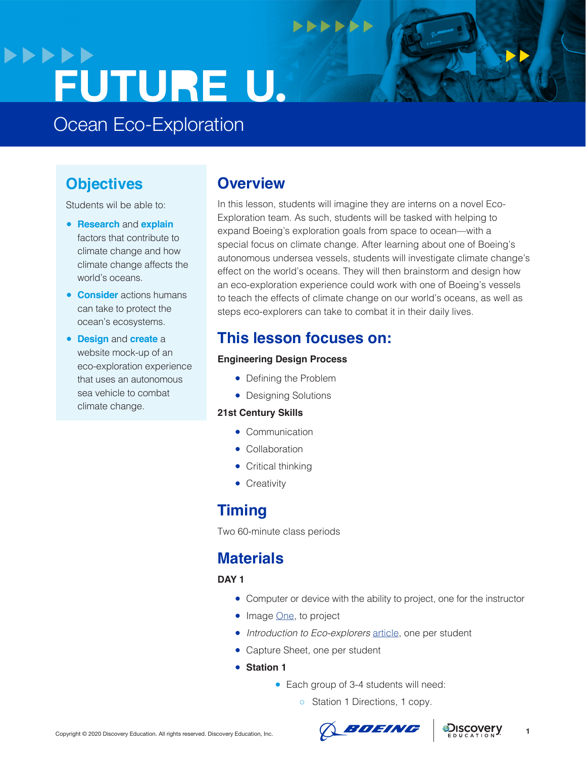## **>>>>>>** FUTURE U.

Ocean Eco-Exploration

## **Objectives**

Students wil be able to:

- **Research** and **explain**  factors that contribute to climate change and how climate change affects the world's oceans.
- **Consider** actions humans can take to protect the ocean's ecosystems.
- **Design** and **create** a website mock-up of an eco-exploration experience that uses an autonomous sea vehicle to combat climate change.

### **Overview**

In this lesson, students will imagine they are interns on a novel Eco-Exploration team. As such, students will be tasked with helping to expand Boeing's exploration goals from space to ocean—with a special focus on climate change. After learning about one of Boeing's autonomous undersea vessels, students will investigate climate change's effect on the world's oceans. They will then brainstorm and design how an eco-exploration experience could work with one of Boeing's vessels to teach the effects of climate change on our world's oceans, as well as steps eco-explorers can take to combat it in their daily lives.

 $+$ 

## **This lesson focuses on:**

#### **Engineering Design Process**

- Defining the Problem
- Designing Solutions

#### **21st Century Skills**

- Communication
- Collaboration
- Critical thinking
- Creativity

### **Timing**

Two 60-minute class periods

## **Materials**

**DAY 1**

- Computer or device with the ability to project, one for the instructor
- Image [One](https://workboatdc-static.s3.amazonaws.com/uploads/2019/02/Boeing-Echo-Voyager-rendering-702x336.jpg), to project
- *Introduction to Eco-explorers* [article,](https://www.thoughtco.com/what-is-ecotourism-1435185) one per student
- Capture Sheet, one per student
- **Station 1**
	- Each group of 3-4 students will need:
		- o Station 1 Directions, 1 copy.





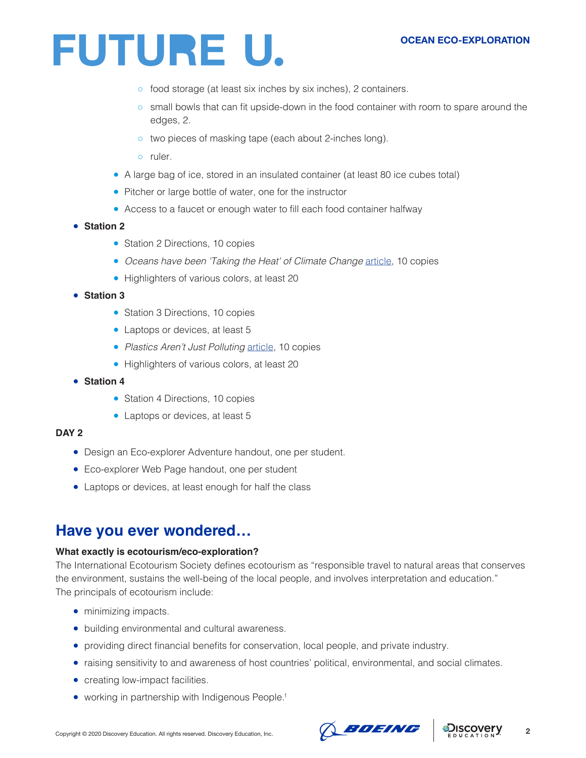

- food storage (at least six inches by six inches), 2 containers.
- small bowls that can fit upside-down in the food container with room to spare around the edges, 2.
- two pieces of masking tape (each about 2-inches long).
- ruler.
- A large bag of ice, stored in an insulated container (at least 80 ice cubes total)
- Pitcher or large bottle of water, one for the instructor
- Access to a faucet or enough water to fill each food container halfway
- **Station 2**
	- Station 2 Directions, 10 copies
	- Oceans have been 'Taking the Heat' of Climate Change [article](https://abcnews.go.com/Politics/oceans-feel-increasing-impact-climate-change-source-solutions/story?id=65828631), 10 copies
	- Highlighters of various colors, at least 20
- **Station 3**
	- Station 3 Directions, 10 copies
	- Laptops or devices, at least 5
	- *Plastics Aren't Just Polluting* [article,](https://www.huffpost.com/entry/plastic-climate-change_n_5cdd8f4be4b09648227ca194?guccounter=1) 10 copies
	- Highlighters of various colors, at least 20
- **Station 4**
	- Station 4 Directions, 10 copies
	- Laptops or devices, at least 5

#### **DAY 2**

- Design an Eco-explorer Adventure handout, one per student.
- Eco-explorer Web Page handout, one per student
- Laptops or devices, at least enough for half the class

### **Have you ever wondered…**

#### **What exactly is ecotourism/eco-exploration?**

The International Ecotourism Society defines ecotourism as "responsible travel to natural areas that conserves the environment, sustains the well-being of the local people, and involves interpretation and education." The principals of ecotourism include:

- minimizing impacts.
- building environmental and cultural awareness.
- providing direct financial benefits for conservation, local people, and private industry.
- raising sensitivity to and awareness of host countries' political, environmental, and social climates.
- creating low-impact facilities.
- working in partnership with Indigenous People.<sup>1</sup>



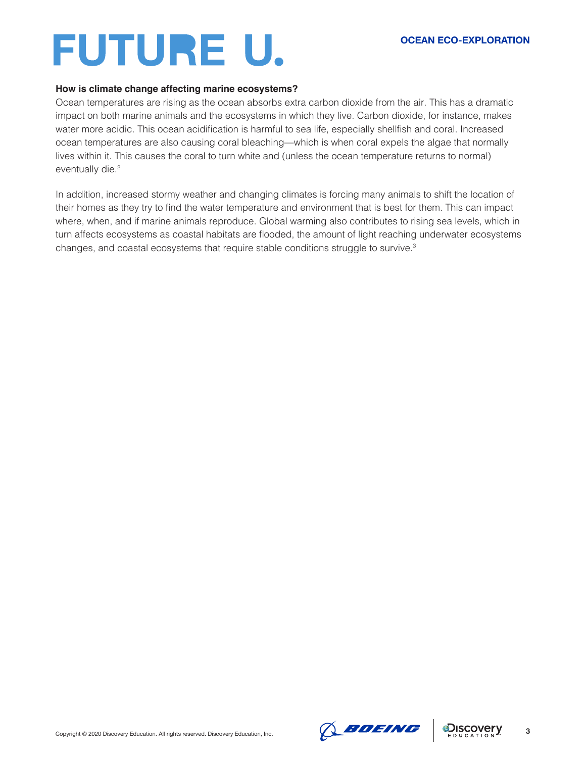#### **OCEAN ECO-EXPLORATION**

#### **How is climate change affecting marine ecosystems?**

Ocean temperatures are rising as the ocean absorbs extra carbon dioxide from the air. This has a dramatic impact on both marine animals and the ecosystems in which they live. Carbon dioxide, for instance, makes water more acidic. This ocean acidification is harmful to sea life, especially shellfish and coral. Increased ocean temperatures are also causing coral bleaching—which is when coral expels the algae that normally lives within it. This causes the coral to turn white and (unless the ocean temperature returns to normal) eventually die.<sup>2</sup>

In addition, increased stormy weather and changing climates is forcing many animals to shift the location of their homes as they try to find the water temperature and environment that is best for them. This can impact where, when, and if marine animals reproduce. Global warming also contributes to rising sea levels, which in turn affects ecosystems as coastal habitats are flooded, the amount of light reaching underwater ecosystems changes, and coastal ecosystems that require stable conditions struggle to survive.3



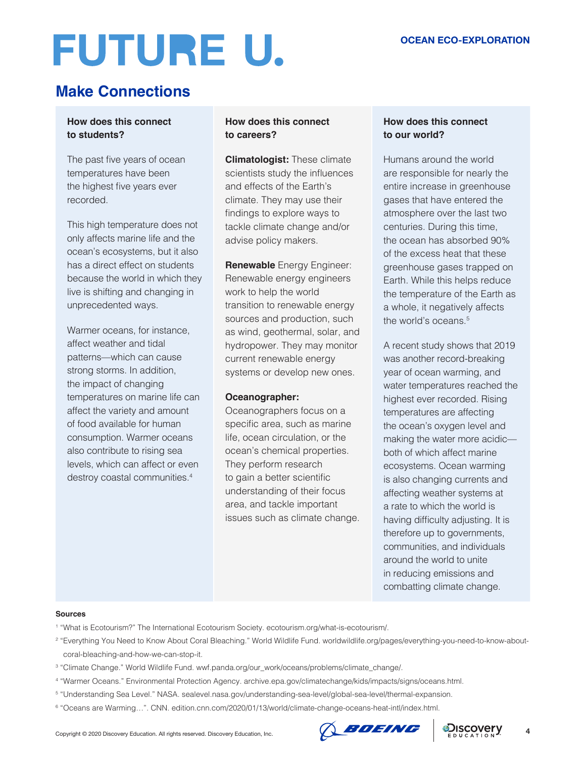## **Make Connections**

#### **How does this connect to students?**

The past five years of ocean temperatures have been the highest five years ever recorded.

This high temperature does not only affects marine life and the ocean's ecosystems, but it also has a direct effect on students because the world in which they live is shifting and changing in unprecedented ways.

Warmer oceans, for instance, affect weather and tidal patterns—which can cause strong storms. In addition, the impact of changing temperatures on marine life can affect the variety and amount of food available for human consumption. Warmer oceans also contribute to rising sea levels, which can affect or even destroy coastal communities.4

#### **How does this connect to careers?**

**Climatologist:** These climate scientists study the influences and effects of the Earth's climate. They may use their findings to explore ways to tackle climate change and/or advise policy makers.

**Renewable** Energy Engineer: Renewable energy engineers work to help the world transition to renewable energy sources and production, such as wind, geothermal, solar, and hydropower. They may monitor current renewable energy systems or develop new ones.

#### **Oceanographer:**

Oceanographers focus on a specific area, such as marine life, ocean circulation, or the ocean's chemical properties. They perform research to gain a better scientific understanding of their focus area, and tackle important issues such as climate change.

#### **How does this connect to our world?**

Humans around the world are responsible for nearly the entire increase in greenhouse gases that have entered the atmosphere over the last two centuries. During this time, the ocean has absorbed 90% of the excess heat that these greenhouse gases trapped on Earth. While this helps reduce the temperature of the Earth as a whole, it negatively affects the world's oceans.<sup>5</sup>

A recent study shows that 2019 was another record-breaking year of ocean warming, and water temperatures reached the highest ever recorded. Rising temperatures are affecting the ocean's oxygen level and making the water more acidic both of which affect marine ecosystems. Ocean warming is also changing currents and affecting weather systems at a rate to which the world is having difficulty adjusting. It is therefore up to governments, communities, and individuals around the world to unite in reducing emissions and combatting climate change.

#### **Sources**

1 "What is Ecotourism?" The International Ecotourism Society. ecotourism.org/what-is-ecotourism/.

- 2 "Everything You Need to Know About Coral Bleaching." World Wildlife Fund. worldwildlife.org/pages/everything-you-need-to-know-aboutcoral-bleaching-and-how-we-can-stop-it.
- 3 "Climate Change." World Wildlife Fund. wwf.panda.org/our\_work/oceans/problems/climate\_change/.
- 4 "Warmer Oceans." Environmental Protection Agency. archive.epa.gov/climatechange/kids/impacts/signs/oceans.html.
- 5 "Understanding Sea Level." NASA. sealevel.nasa.gov/understanding-sea-level/global-sea-level/thermal-expansion.
- 6 "Oceans are Warming…". CNN. edition.cnn.com/2020/01/13/world/climate-change-oceans-heat-intl/index.html.



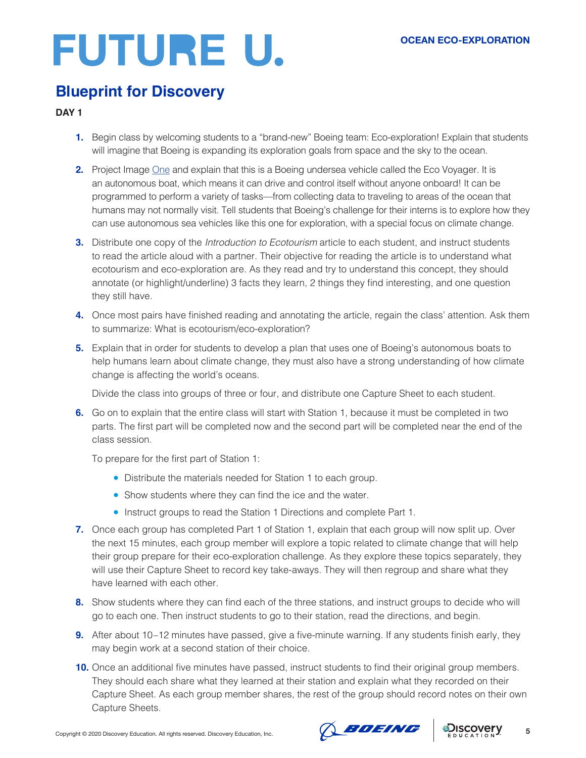### **Blueprint for Discovery**

#### **DAY 1**

- **1.** Begin class by welcoming students to a "brand-new" Boeing team: Eco-exploration! Explain that students will imagine that Boeing is expanding its exploration goals from space and the sky to the ocean.
- **2.** Project Image [One](https://workboatdc-static.s3.amazonaws.com/uploads/2019/02/Boeing-Echo-Voyager-rendering-702x336.jpg) and explain that this is a Boeing undersea vehicle called the Eco Voyager. It is an autonomous boat, which means it can drive and control itself without anyone onboard! It can be programmed to perform a variety of tasks—from collecting data to traveling to areas of the ocean that humans may not normally visit. Tell students that Boeing's challenge for their interns is to explore how they can use autonomous sea vehicles like this one for exploration, with a special focus on climate change.
- **3.** Distribute one copy of the *Introduction to Ecotourism* article to each student, and instruct students to read the article aloud with a partner. Their objective for reading the article is to understand what ecotourism and eco-exploration are. As they read and try to understand this concept, they should annotate (or highlight/underline) 3 facts they learn, 2 things they find interesting, and one question they still have.
- **4.** Once most pairs have finished reading and annotating the article, regain the class' attention. Ask them to summarize: What is ecotourism/eco-exploration?
- **5.** Explain that in order for students to develop a plan that uses one of Boeing's autonomous boats to help humans learn about climate change, they must also have a strong understanding of how climate change is affecting the world's oceans.

Divide the class into groups of three or four, and distribute one Capture Sheet to each student.

**6.** Go on to explain that the entire class will start with Station 1, because it must be completed in two parts. The first part will be completed now and the second part will be completed near the end of the class session.

To prepare for the first part of Station 1:

- Distribute the materials needed for Station 1 to each group.
- Show students where they can find the ice and the water.
- Instruct groups to read the Station 1 Directions and complete Part 1.
- **7.** Once each group has completed Part 1 of Station 1, explain that each group will now split up. Over the next 15 minutes, each group member will explore a topic related to climate change that will help their group prepare for their eco-exploration challenge. As they explore these topics separately, they will use their Capture Sheet to record key take-aways. They will then regroup and share what they have learned with each other.
- **8.** Show students where they can find each of the three stations, and instruct groups to decide who will go to each one. Then instruct students to go to their station, read the directions, and begin.
- **9.** After about 10–12 minutes have passed, give a five-minute warning. If any students finish early, they may begin work at a second station of their choice.
- **10.** Once an additional five minutes have passed, instruct students to find their original group members. They should each share what they learned at their station and explain what they recorded on their Capture Sheet. As each group member shares, the rest of the group should record notes on their own Capture Sheets.



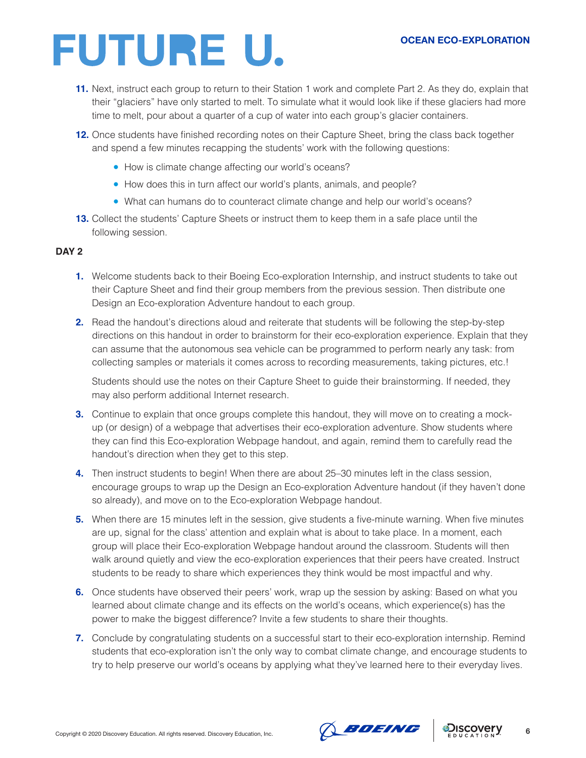#### **OCEAN ECO-EXPLORATION**

## **FUTURE U.**

- **11.** Next, instruct each group to return to their Station 1 work and complete Part 2. As they do, explain that their "glaciers" have only started to melt. To simulate what it would look like if these glaciers had more time to melt, pour about a quarter of a cup of water into each group's glacier containers.
- **12.** Once students have finished recording notes on their Capture Sheet, bring the class back together and spend a few minutes recapping the students' work with the following questions:
	- How is climate change affecting our world's oceans?
	- How does this in turn affect our world's plants, animals, and people?
	- What can humans do to counteract climate change and help our world's oceans?
- **13.** Collect the students' Capture Sheets or instruct them to keep them in a safe place until the following session.

#### **DAY 2**

- **1.** Welcome students back to their Boeing Eco-exploration Internship, and instruct students to take out their Capture Sheet and find their group members from the previous session. Then distribute one Design an Eco-exploration Adventure handout to each group.
- **2.** Read the handout's directions aloud and reiterate that students will be following the step-by-step directions on this handout in order to brainstorm for their eco-exploration experience. Explain that they can assume that the autonomous sea vehicle can be programmed to perform nearly any task: from collecting samples or materials it comes across to recording measurements, taking pictures, etc.!

Students should use the notes on their Capture Sheet to guide their brainstorming. If needed, they may also perform additional Internet research.

- **3.** Continue to explain that once groups complete this handout, they will move on to creating a mockup (or design) of a webpage that advertises their eco-exploration adventure. Show students where they can find this Eco-exploration Webpage handout, and again, remind them to carefully read the handout's direction when they get to this step.
- **4.** Then instruct students to begin! When there are about 25–30 minutes left in the class session, encourage groups to wrap up the Design an Eco-exploration Adventure handout (if they haven't done so already), and move on to the Eco-exploration Webpage handout.
- **5.** When there are 15 minutes left in the session, give students a five-minute warning. When five minutes are up, signal for the class' attention and explain what is about to take place. In a moment, each group will place their Eco-exploration Webpage handout around the classroom. Students will then walk around quietly and view the eco-exploration experiences that their peers have created. Instruct students to be ready to share which experiences they think would be most impactful and why.
- **6.** Once students have observed their peers' work, wrap up the session by asking: Based on what you learned about climate change and its effects on the world's oceans, which experience(s) has the power to make the biggest difference? Invite a few students to share their thoughts.
- **7.** Conclude by congratulating students on a successful start to their eco-exploration internship. Remind students that eco-exploration isn't the only way to combat climate change, and encourage students to try to help preserve our world's oceans by applying what they've learned here to their everyday lives.

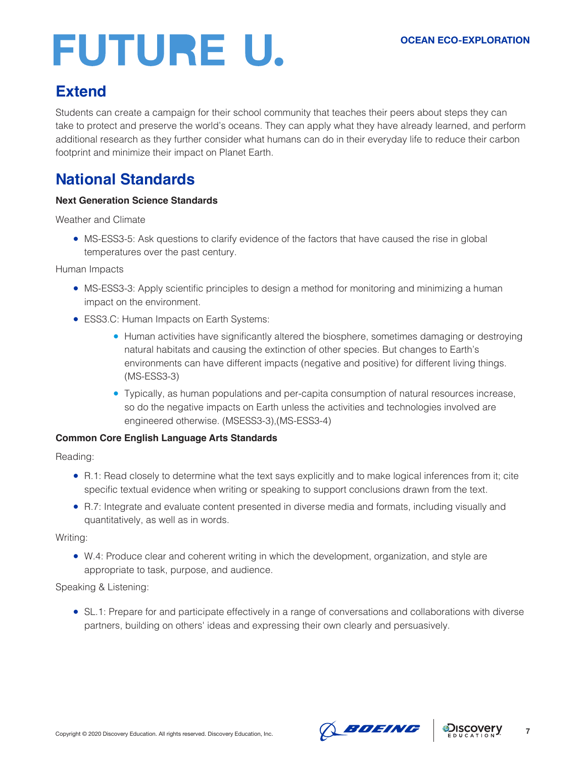## **Extend**

Students can create a campaign for their school community that teaches their peers about steps they can take to protect and preserve the world's oceans. They can apply what they have already learned, and perform additional research as they further consider what humans can do in their everyday life to reduce their carbon footprint and minimize their impact on Planet Earth.

## **National Standards**

#### **Next Generation Science Standards**

Weather and Climate

• MS-ESS3-5: Ask questions to clarify evidence of the factors that have caused the rise in global temperatures over the past century.

Human Impacts

- MS-ESS3-3: Apply scientific principles to design a method for monitoring and minimizing a human impact on the environment.
- ESS3.C: Human Impacts on Earth Systems:
	- Human activities have significantly altered the biosphere, sometimes damaging or destroying natural habitats and causing the extinction of other species. But changes to Earth's environments can have different impacts (negative and positive) for different living things. (MS-ESS3-3)
	- Typically, as human populations and per-capita consumption of natural resources increase, so do the negative impacts on Earth unless the activities and technologies involved are engineered otherwise. (MSESS3-3),(MS-ESS3-4)

#### **Common Core English Language Arts Standards**

Reading:

- R.1: Read closely to determine what the text says explicitly and to make logical inferences from it; cite specific textual evidence when writing or speaking to support conclusions drawn from the text.
- R.7: Integrate and evaluate content presented in diverse media and formats, including visually and quantitatively, as well as in words.

Writing:

● W.4: Produce clear and coherent writing in which the development, organization, and style are appropriate to task, purpose, and audience.

Speaking & Listening:

• SL.1: Prepare for and participate effectively in a range of conversations and collaborations with diverse partners, building on others' ideas and expressing their own clearly and persuasively.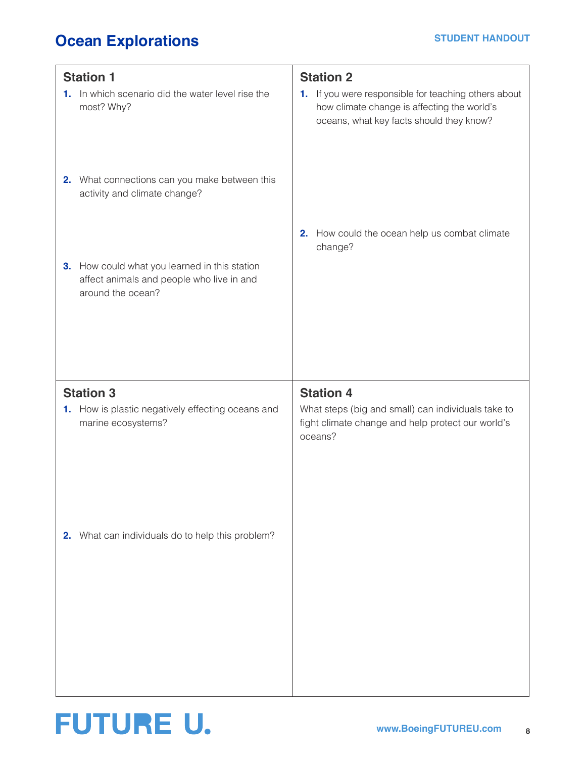## **Ocean Explorations**

| <b>Station 1</b><br>1. In which scenario did the water level rise the                                           | <b>Station 2</b><br>1. If you were responsible for teaching others about                                                               |  |
|-----------------------------------------------------------------------------------------------------------------|----------------------------------------------------------------------------------------------------------------------------------------|--|
| most? Why?<br>2. What connections can you make between this                                                     | how climate change is affecting the world's<br>oceans, what key facts should they know?                                                |  |
| activity and climate change?                                                                                    | 2. How could the ocean help us combat climate                                                                                          |  |
| 3. How could what you learned in this station<br>affect animals and people who live in and<br>around the ocean? | change?                                                                                                                                |  |
|                                                                                                                 |                                                                                                                                        |  |
| <b>Station 3</b><br>1. How is plastic negatively effecting oceans and<br>marine ecosystems?                     | <b>Station 4</b><br>What steps (big and small) can individuals take to<br>fight climate change and help protect our world's<br>oceans? |  |
| 2. What can individuals do to help this problem?                                                                |                                                                                                                                        |  |

## **FUTURE U.**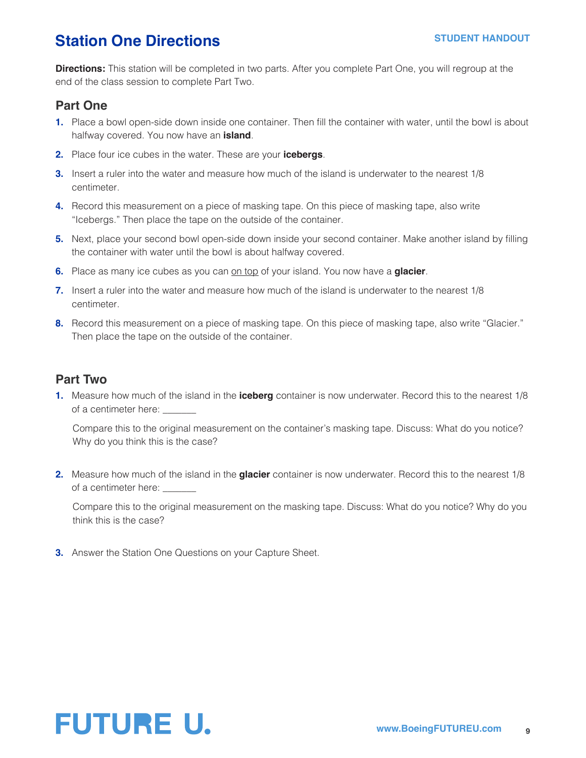### **Station One Directions**

**Directions:** This station will be completed in two parts. After you complete Part One, you will regroup at the end of the class session to complete Part Two.

#### **Part One**

- **1.** Place a bowl open-side down inside one container. Then fill the container with water, until the bowl is about halfway covered. You now have an **island**.
- **2.** Place four ice cubes in the water. These are your **icebergs**.
- **3.** Insert a ruler into the water and measure how much of the island is underwater to the nearest 1/8 centimeter.
- **4.** Record this measurement on a piece of masking tape. On this piece of masking tape, also write "Icebergs." Then place the tape on the outside of the container.
- **5.** Next, place your second bowl open-side down inside your second container. Make another island by filling the container with water until the bowl is about halfway covered.
- **6.** Place as many ice cubes as you can on top of your island. You now have a **glacier**.
- **7.** Insert a ruler into the water and measure how much of the island is underwater to the nearest 1/8 centimeter.
- **8.** Record this measurement on a piece of masking tape. On this piece of masking tape, also write "Glacier." Then place the tape on the outside of the container.

#### **Part Two**

**1.** Measure how much of the island in the **iceberg** container is now underwater. Record this to the nearest 1/8 of a centimeter here:

Compare this to the original measurement on the container's masking tape. Discuss: What do you notice? Why do you think this is the case?

**2.** Measure how much of the island in the **glacier** container is now underwater. Record this to the nearest 1/8 of a centimeter here:

Compare this to the original measurement on the masking tape. Discuss: What do you notice? Why do you think this is the case?

**3.** Answer the Station One Questions on your Capture Sheet.

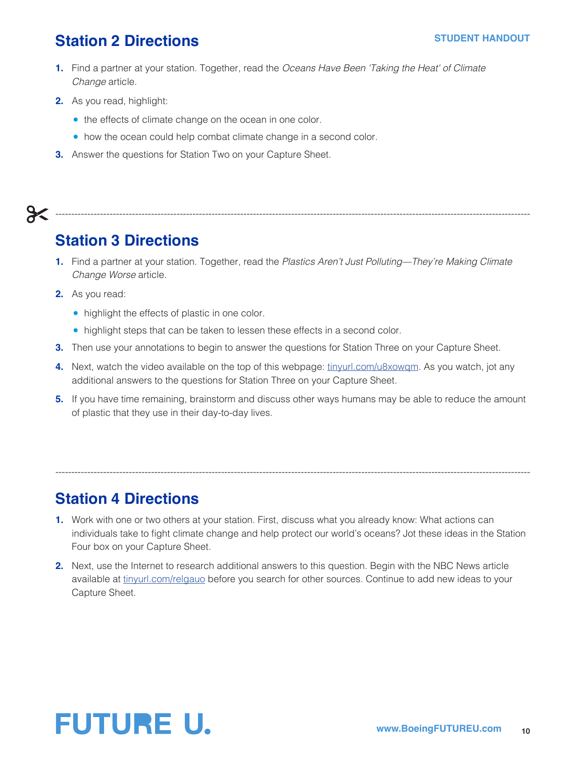### **Station 2 Directions**

- **1.** Find a partner at your station. Together, read the *Oceans Have Been 'Taking the Heat' of Climate Change* article.
- **2.** As you read, highlight:
	- the effects of climate change on the ocean in one color.
	- how the ocean could help combat climate change in a second color.
- **3.** Answer the questions for Station Two on your Capture Sheet.



## **Station 3 Directions**

**1.** Find a partner at your station. Together, read the *Plastics Aren't Just Polluting—They're Making Climate Change Worse* article.

-----------------------------------------------------------------------------------------------------------------------------------------------------

- **2.** As you read:
	- highlight the effects of plastic in one color.
	- highlight steps that can be taken to lessen these effects in a second color.
- **3.** Then use your annotations to begin to answer the questions for Station Three on your Capture Sheet.
- **4.** Next, watch the video available on the top of this webpage: [tinyurl.com/u8xowqm](http://tinyurl.com/u8xowqm). As you watch, jot any additional answers to the questions for Station Three on your Capture Sheet.
- **5.** If you have time remaining, brainstorm and discuss other ways humans may be able to reduce the amount of plastic that they use in their day-to-day lives.

## **Station 4 Directions**

**1.** Work with one or two others at your station. First, discuss what you already know: What actions can individuals take to fight climate change and help protect our world's oceans? Jot these ideas in the Station Four box on your Capture Sheet.

-----------------------------------------------------------------------------------------------------------------------------------------------------

**2.** Next, use the Internet to research additional answers to this question. Begin with the NBC News article available at [tinyurl.com/relgauo](http://tinyurl.com/relgauo) before you search for other sources. Continue to add new ideas to your Capture Sheet.

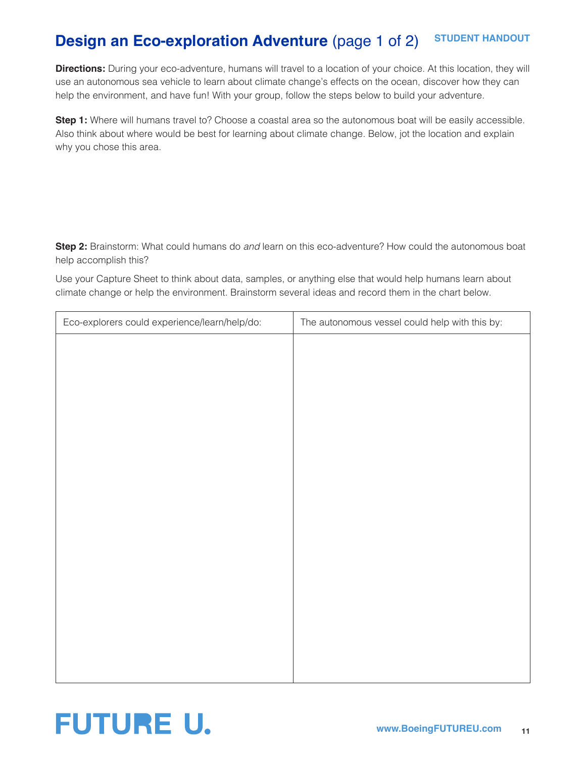#### **STUDENT HANDOUT Design an Eco-exploration Adventure (page 1 of 2)**

**Directions:** During your eco-adventure, humans will travel to a location of your choice. At this location, they will use an autonomous sea vehicle to learn about climate change's effects on the ocean, discover how they can help the environment, and have fun! With your group, follow the steps below to build your adventure.

**Step 1:** Where will humans travel to? Choose a coastal area so the autonomous boat will be easily accessible. Also think about where would be best for learning about climate change. Below, jot the location and explain why you chose this area.

**Step 2:** Brainstorm: What could humans do *and* learn on this eco-adventure? How could the autonomous boat help accomplish this?

Use your Capture Sheet to think about data, samples, or anything else that would help humans learn about climate change or help the environment. Brainstorm several ideas and record them in the chart below.

| Eco-explorers could experience/learn/help/do: | The autonomous vessel could help with this by: |
|-----------------------------------------------|------------------------------------------------|
|                                               |                                                |
|                                               |                                                |
|                                               |                                                |
|                                               |                                                |
|                                               |                                                |
|                                               |                                                |
|                                               |                                                |
|                                               |                                                |
|                                               |                                                |
|                                               |                                                |
|                                               |                                                |
|                                               |                                                |
|                                               |                                                |
|                                               |                                                |
|                                               |                                                |
|                                               |                                                |

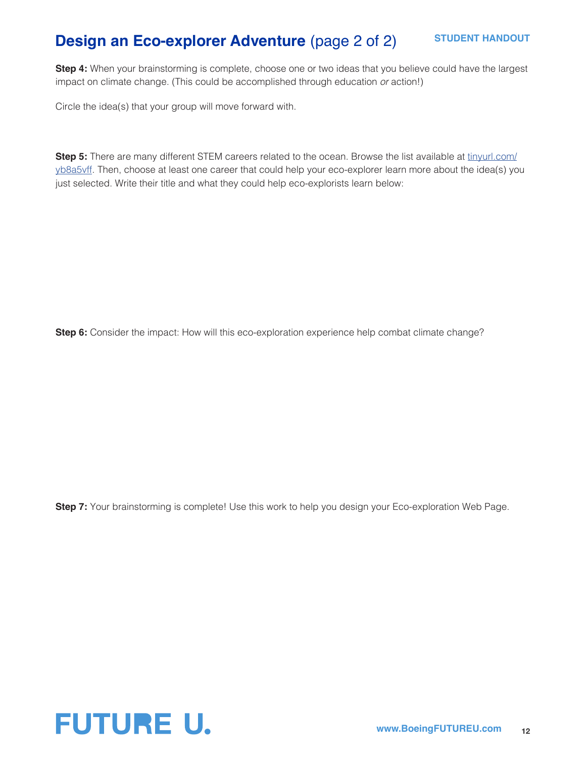## **Design an Eco-explorer Adventure** (page 2 of 2)

**Step 4:** When your brainstorming is complete, choose one or two ideas that you believe could have the largest impact on climate change. (This could be accomplished through education *or* action!)

Circle the idea(s) that your group will move forward with.

**Step 5:** There are many different STEM careers related to the ocean. Browse the list available at [tinyurl.com/](http://tinyurl.com/yb8a5vff) [yb8a5vff](http://tinyurl.com/yb8a5vff). Then, choose at least one career that could help your eco-explorer learn more about the idea(s) you just selected. Write their title and what they could help eco-explorists learn below:

**Step 6:** Consider the impact: How will this eco-exploration experience help combat climate change?

**Step 7:** Your brainstorming is complete! Use this work to help you design your Eco-exploration Web Page.